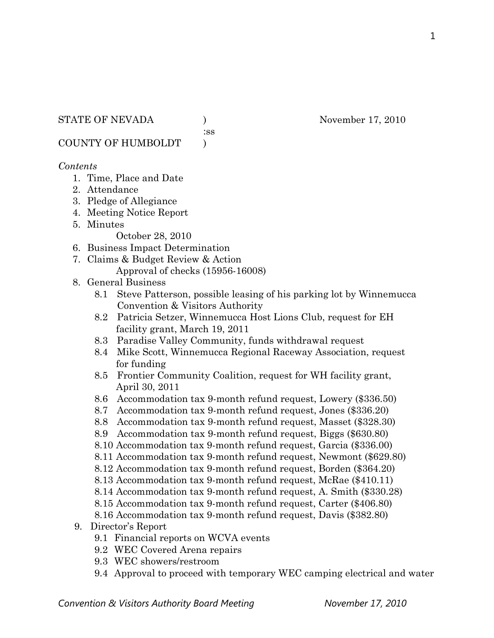:ss

COUNTY OF HUMBOLDT )

## *Contents*

- 1. Time, Place and Date
- 2. Attendance
- 3. Pledge of Allegiance
- 4. Meeting Notice Report
- 5. Minutes

October 28, 2010

- 6. Business Impact Determination
- 7. Claims & Budget Review & Action Approval of checks (15956-16008)
- 8. General Business
	- 8.1 Steve Patterson, possible leasing of his parking lot by Winnemucca Convention & Visitors Authority
	- 8.2 Patricia Setzer, Winnemucca Host Lions Club, request for EH facility grant, March 19, 2011
	- 8.3 Paradise Valley Community, funds withdrawal request
	- 8.4 Mike Scott, Winnemucca Regional Raceway Association, request for funding
	- 8.5 Frontier Community Coalition, request for WH facility grant, April 30, 2011
	- 8.6 Accommodation tax 9-month refund request, Lowery (\$336.50)
	- 8.7 Accommodation tax 9-month refund request, Jones (\$336.20)
	- 8.8 Accommodation tax 9-month refund request, Masset (\$328.30)
	- 8.9 Accommodation tax 9-month refund request, Biggs (\$630.80)
	- 8.10 Accommodation tax 9-month refund request, Garcia (\$336.00)
	- 8.11 Accommodation tax 9-month refund request, Newmont (\$629.80)
	- 8.12 Accommodation tax 9-month refund request, Borden (\$364.20)
	- 8.13 Accommodation tax 9-month refund request, McRae (\$410.11)
	- 8.14 Accommodation tax 9-month refund request, A. Smith (\$330.28)
	- 8.15 Accommodation tax 9-month refund request, Carter (\$406.80)
	- 8.16 Accommodation tax 9-month refund request, Davis (\$382.80)

# 9. Director's Report

- 9.1 Financial reports on WCVA events
- 9.2 WEC Covered Arena repairs
- 9.3 WEC showers/restroom
- 9.4 Approval to proceed with temporary WEC camping electrical and water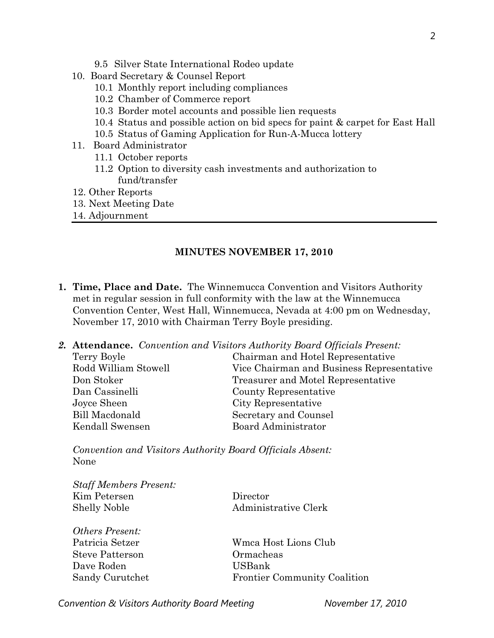- 9.5 Silver State International Rodeo update
- 10. Board Secretary & Counsel Report
	- 10.1 Monthly report including compliances
	- 10.2 Chamber of Commerce report
	- 10.3 Border motel accounts and possible lien requests
	- 10.4 Status and possible action on bid specs for paint & carpet for East Hall
	- 10.5 Status of Gaming Application for Run-A-Mucca lottery
- 11. Board Administrator
	- 11.1 October reports
	- 11.2 Option to diversity cash investments and authorization to fund/transfer
- 12. Other Reports
- 13. Next Meeting Date
- 14. Adjournment

### **MINUTES NOVEMBER 17, 2010**

- **1. Time, Place and Date.** The Winnemucca Convention and Visitors Authority met in regular session in full conformity with the law at the Winnemucca Convention Center, West Hall, Winnemucca, Nevada at 4:00 pm on Wednesday, November 17, 2010 with Chairman Terry Boyle presiding.
- *2.* **Attendance.** *Convention and Visitors Authority Board Officials Present:*

| Terry Boyle           | Chairman and Hotel Representative         |
|-----------------------|-------------------------------------------|
| Rodd William Stowell  | Vice Chairman and Business Representative |
| Don Stoker            | Treasurer and Motel Representative        |
| Dan Cassinelli        | County Representative                     |
| Joyce Sheen           | City Representative                       |
| <b>Bill Macdonald</b> | Secretary and Counsel                     |
| Kendall Swensen       | Board Administrator                       |

*Convention and Visitors Authority Board Officials Absent:*  None

| <b>Staff Members Present:</b> |          |
|-------------------------------|----------|
| Kim Petersen                  | Director |
| <b>Shelly Noble</b>           | Administ |
|                               |          |

*Others Present:*  Steve Patterson Ormacheas Dave Roden USBank

nistrative Clerk

Patricia Setzer Wmca Host Lions Club Sandy Curutchet Frontier Community Coalition

Convention & Visitors Authority Board Meeting November 17, 2010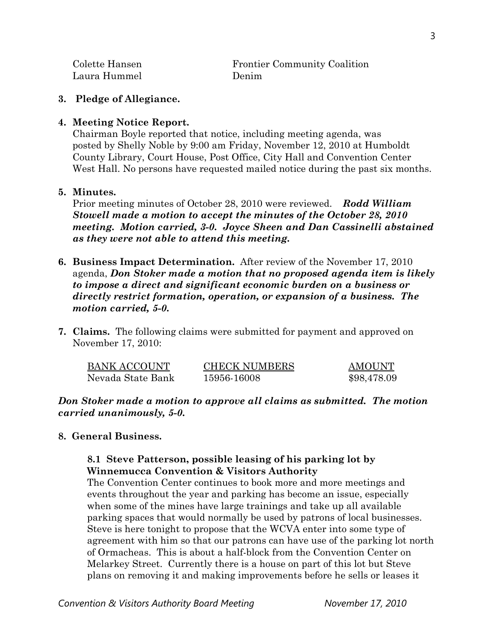| Colette Hansen | <b>Frontier Community Coalition</b> |
|----------------|-------------------------------------|
| Laura Hummel   | Denim                               |

## **3. Pledge of Allegiance.**

## **4. Meeting Notice Report.**

Chairman Boyle reported that notice, including meeting agenda, was posted by Shelly Noble by 9:00 am Friday, November 12, 2010 at Humboldt County Library, Court House, Post Office, City Hall and Convention Center West Hall. No persons have requested mailed notice during the past six months.

## **5. Minutes.**

Prior meeting minutes of October 28, 2010 were reviewed. *Rodd William Stowell made a motion to accept the minutes of the October 28, 2010 meeting. Motion carried, 3-0. Joyce Sheen and Dan Cassinelli abstained as they were not able to attend this meeting.* 

- **6. Business Impact Determination.** After review of the November 17, 2010 agenda, *Don Stoker made a motion that no proposed agenda item is likely to impose a direct and significant economic burden on a business or directly restrict formation, operation, or expansion of a business. The motion carried, 5-0.*
- **7. Claims.** The following claims were submitted for payment and approved on November 17, 2010:

| BANK ACCOUNT      | <b>CHECK NUMBERS</b> | <b>AMOUNT</b> |
|-------------------|----------------------|---------------|
| Nevada State Bank | 15956-16008          | \$98,478.09   |

*Don Stoker made a motion to approve all claims as submitted. The motion carried unanimously, 5-0.* 

## **8. General Business.**

# **8.1 Steve Patterson, possible leasing of his parking lot by Winnemucca Convention & Visitors Authority**

The Convention Center continues to book more and more meetings and events throughout the year and parking has become an issue, especially when some of the mines have large trainings and take up all available parking spaces that would normally be used by patrons of local businesses. Steve is here tonight to propose that the WCVA enter into some type of agreement with him so that our patrons can have use of the parking lot north of Ormacheas. This is about a half-block from the Convention Center on Melarkey Street. Currently there is a house on part of this lot but Steve plans on removing it and making improvements before he sells or leases it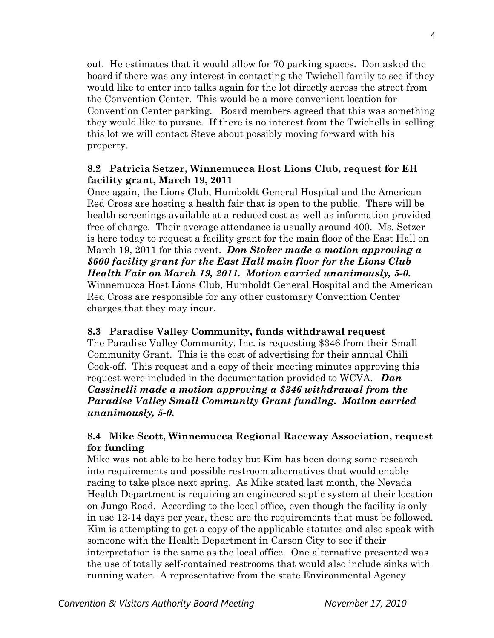out. He estimates that it would allow for 70 parking spaces. Don asked the board if there was any interest in contacting the Twichell family to see if they would like to enter into talks again for the lot directly across the street from the Convention Center. This would be a more convenient location for Convention Center parking. Board members agreed that this was something they would like to pursue. If there is no interest from the Twichells in selling this lot we will contact Steve about possibly moving forward with his property.

## **8.2 Patricia Setzer, Winnemucca Host Lions Club, request for EH facility grant, March 19, 2011**

Once again, the Lions Club, Humboldt General Hospital and the American Red Cross are hosting a health fair that is open to the public. There will be health screenings available at a reduced cost as well as information provided free of charge. Their average attendance is usually around 400. Ms. Setzer is here today to request a facility grant for the main floor of the East Hall on March 19, 2011 for this event. *Don Stoker made a motion approving a \$600 facility grant for the East Hall main floor for the Lions Club Health Fair on March 19, 2011. Motion carried unanimously, 5-0.*  Winnemucca Host Lions Club, Humboldt General Hospital and the American Red Cross are responsible for any other customary Convention Center charges that they may incur.

### **8.3 Paradise Valley Community, funds withdrawal request**

The Paradise Valley Community, Inc. is requesting \$346 from their Small Community Grant. This is the cost of advertising for their annual Chili Cook-off. This request and a copy of their meeting minutes approving this request were included in the documentation provided to WCVA. *Dan Cassinelli made a motion approving a \$346 withdrawal from the Paradise Valley Small Community Grant funding. Motion carried unanimously, 5-0.* 

## **8.4 Mike Scott, Winnemucca Regional Raceway Association, request for funding**

Mike was not able to be here today but Kim has been doing some research into requirements and possible restroom alternatives that would enable racing to take place next spring. As Mike stated last month, the Nevada Health Department is requiring an engineered septic system at their location on Jungo Road. According to the local office, even though the facility is only in use 12-14 days per year, these are the requirements that must be followed. Kim is attempting to get a copy of the applicable statutes and also speak with someone with the Health Department in Carson City to see if their interpretation is the same as the local office. One alternative presented was the use of totally self-contained restrooms that would also include sinks with running water. A representative from the state Environmental Agency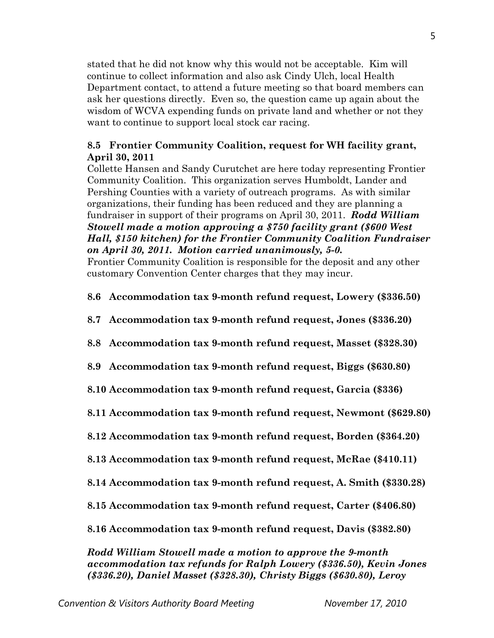stated that he did not know why this would not be acceptable. Kim will continue to collect information and also ask Cindy Ulch, local Health Department contact, to attend a future meeting so that board members can ask her questions directly. Even so, the question came up again about the wisdom of WCVA expending funds on private land and whether or not they want to continue to support local stock car racing.

# **8.5 Frontier Community Coalition, request for WH facility grant, April 30, 2011**

Collette Hansen and Sandy Curutchet are here today representing Frontier Community Coalition. This organization serves Humboldt, Lander and Pershing Counties with a variety of outreach programs. As with similar organizations, their funding has been reduced and they are planning a fundraiser in support of their programs on April 30, 2011. *Rodd William Stowell made a motion approving a \$750 facility grant (\$600 West Hall, \$150 kitchen) for the Frontier Community Coalition Fundraiser on April 30, 2011. Motion carried unanimously, 5-0.* 

Frontier Community Coalition is responsible for the deposit and any other customary Convention Center charges that they may incur.

- **8.6 Accommodation tax 9-month refund request, Lowery (\$336.50)**
- **8.7 Accommodation tax 9-month refund request, Jones (\$336.20)**
- **8.8 Accommodation tax 9-month refund request, Masset (\$328.30)**
- **8.9 Accommodation tax 9-month refund request, Biggs (\$630.80)**
- **8.10 Accommodation tax 9-month refund request, Garcia (\$336)**
- **8.11 Accommodation tax 9-month refund request, Newmont (\$629.80)**
- **8.12 Accommodation tax 9-month refund request, Borden (\$364.20)**
- **8.13 Accommodation tax 9-month refund request, McRae (\$410.11)**
- **8.14 Accommodation tax 9-month refund request, A. Smith (\$330.28)**
- **8.15 Accommodation tax 9-month refund request, Carter (\$406.80)**
- **8.16 Accommodation tax 9-month refund request, Davis (\$382.80)**

*Rodd William Stowell made a motion to approve the 9-month accommodation tax refunds for Ralph Lowery (\$336.50), Kevin Jones (\$336.20), Daniel Masset (\$328.30), Christy Biggs (\$630.80), Leroy*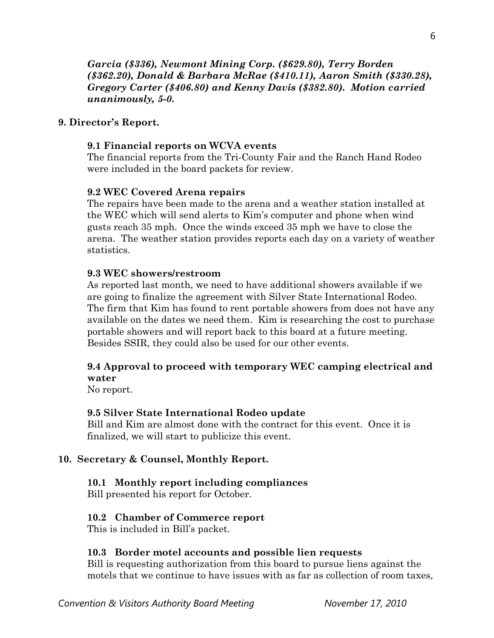*Garcia (\$336), Newmont Mining Corp. (\$629.80), Terry Borden (\$362.20), Donald & Barbara McRae (\$410.11), Aaron Smith (\$330.28), Gregory Carter (\$406.80) and Kenny Davis (\$382.80). Motion carried unanimously, 5-0.* 

## **9. Director's Report.**

### **9.1 Financial reports on WCVA events**

The financial reports from the Tri-County Fair and the Ranch Hand Rodeo were included in the board packets for review.

#### **9.2 WEC Covered Arena repairs**

The repairs have been made to the arena and a weather station installed at the WEC which will send alerts to Kim's computer and phone when wind gusts reach 35 mph. Once the winds exceed 35 mph we have to close the arena. The weather station provides reports each day on a variety of weather statistics.

#### **9.3 WEC showers/restroom**

As reported last month, we need to have additional showers available if we are going to finalize the agreement with Silver State International Rodeo. The firm that Kim has found to rent portable showers from does not have any available on the dates we need them. Kim is researching the cost to purchase portable showers and will report back to this board at a future meeting. Besides SSIR, they could also be used for our other events.

## **9.4 Approval to proceed with temporary WEC camping electrical and water**

No report.

#### **9.5 Silver State International Rodeo update**

Bill and Kim are almost done with the contract for this event. Once it is finalized, we will start to publicize this event.

### **10. Secretary & Counsel, Monthly Report.**

### **10.1 Monthly report including compliances**

Bill presented his report for October.

### **10.2 Chamber of Commerce report**

This is included in Bill's packet.

#### **10.3 Border motel accounts and possible lien requests**

Bill is requesting authorization from this board to pursue liens against the motels that we continue to have issues with as far as collection of room taxes,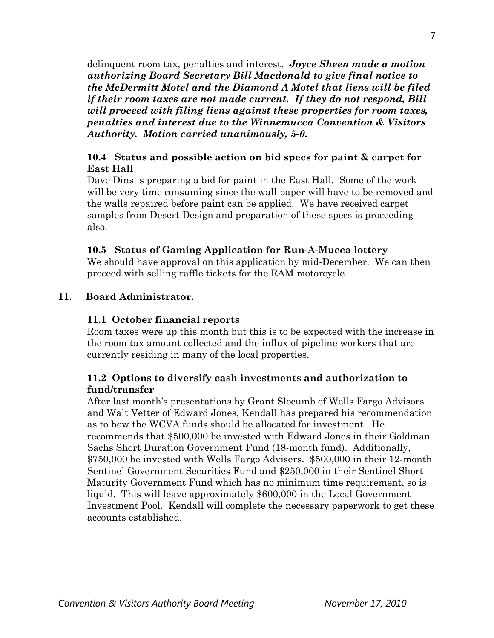delinquent room tax, penalties and interest. *Joyce Sheen made a motion authorizing Board Secretary Bill Macdonald to give final notice to the McDermitt Motel and the Diamond A Motel that liens will be filed if their room taxes are not made current. If they do not respond, Bill will proceed with filing liens against these properties for room taxes, penalties and interest due to the Winnemucca Convention & Visitors Authority. Motion carried unanimously, 5-0.* 

# **10.4 Status and possible action on bid specs for paint & carpet for East Hall**

Dave Dins is preparing a bid for paint in the East Hall. Some of the work will be very time consuming since the wall paper will have to be removed and the walls repaired before paint can be applied. We have received carpet samples from Desert Design and preparation of these specs is proceeding also.

# **10.5 Status of Gaming Application for Run-A-Mucca lottery**

We should have approval on this application by mid-December. We can then proceed with selling raffle tickets for the RAM motorcycle.

# **11. Board Administrator.**

## **11.1 October financial reports**

Room taxes were up this month but this is to be expected with the increase in the room tax amount collected and the influx of pipeline workers that are currently residing in many of the local properties.

# **11.2 Options to diversify cash investments and authorization to fund/transfer**

After last month's presentations by Grant Slocumb of Wells Fargo Advisors and Walt Vetter of Edward Jones, Kendall has prepared his recommendation as to how the WCVA funds should be allocated for investment. He recommends that \$500,000 be invested with Edward Jones in their Goldman Sachs Short Duration Government Fund (18-month fund). Additionally, \$750,000 be invested with Wells Fargo Advisers. \$500,000 in their 12-month Sentinel Government Securities Fund and \$250,000 in their Sentinel Short Maturity Government Fund which has no minimum time requirement, so is liquid. This will leave approximately \$600,000 in the Local Government Investment Pool. Kendall will complete the necessary paperwork to get these accounts established.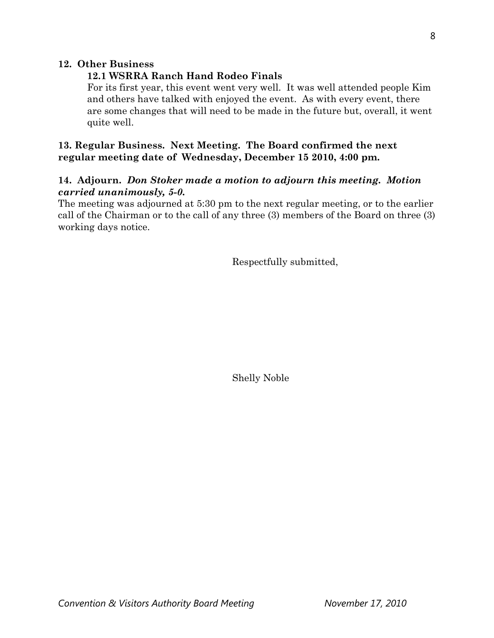## **12. Other Business**

## **12.1 WSRRA Ranch Hand Rodeo Finals**

For its first year, this event went very well. It was well attended people Kim and others have talked with enjoyed the event. As with every event, there are some changes that will need to be made in the future but, overall, it went quite well.

# **13. Regular Business. Next Meeting. The Board confirmed the next regular meeting date of Wednesday, December 15 2010, 4:00 pm.**

## **14. Adjourn.** *Don Stoker made a motion to adjourn this meeting. Motion carried unanimously, 5-0.*

The meeting was adjourned at 5:30 pm to the next regular meeting, or to the earlier call of the Chairman or to the call of any three (3) members of the Board on three (3) working days notice.

Respectfully submitted,

Shelly Noble